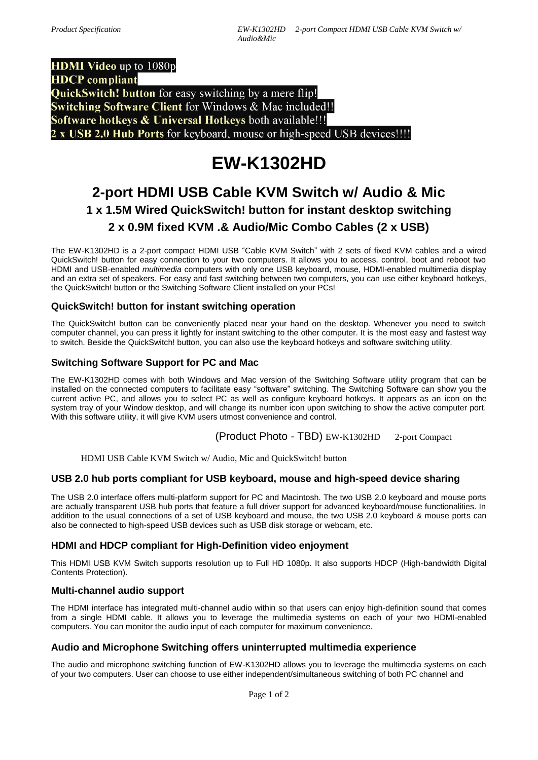## **HDMI Video up to 1080p HDCP** compliant QuickSwitch! button for easy switching by a mere flip! Switching Software Client for Windows & Mac included!! Software hotkeys & Universal Hotkeys both available!!! 2 x USB 2.0 Hub Ports for keyboard, mouse or high-speed USB devices!!!!

# **EW-K1302HD**

# **2-port HDMI USB Cable KVM Switch w/ Audio & Mic 1 x 1.5M Wired QuickSwitch! button for instant desktop switching 2 x 0.9M fixed KVM .& Audio/Mic Combo Cables (2 x USB)**

The EW-K1302HD is a 2-port compact HDMI USB "Cable KVM Switch" with 2 sets of fixed KVM cables and a wired QuickSwitch! button for easy connection to your two computers. It allows you to access, control, boot and reboot two HDMI and USB-enabled *multimedia* computers with only one USB keyboard, mouse, HDMI-enabled multimedia display and an extra set of speakers*.* For easy and fast switching between two computers, you can use either keyboard hotkeys, the QuickSwitch! button or the Switching Software Client installed on your PCs!

#### **QuickSwitch! button for instant switching operation**

The QuickSwitch! button can be conveniently placed near your hand on the desktop. Whenever you need to switch computer channel, you can press it lightly for instant switching to the other computer. It is the most easy and fastest way to switch. Beside the QuickSwitch! button, you can also use the keyboard hotkeys and software switching utility.

### **Switching Software Support for PC and Mac**

The EW-K1302HD comes with both Windows and Mac version of the Switching Software utility program that can be installed on the connected computers to facilitate easy "software" switching. The Switching Software can show you the current active PC, and allows you to select PC as well as configure keyboard hotkeys. It appears as an icon on the system tray of your Window desktop, and will change its number icon upon switching to show the active computer port. With this software utility, it will give KVM users utmost convenience and control.

(Product Photo - TBD) EW-K1302HD 2-port Compact

HDMI USB Cable KVM Switch w/ Audio, Mic and QuickSwitch! button

#### **USB 2.0 hub ports compliant for USB keyboard, mouse and high-speed device sharing**

The USB 2.0 interface offers multi-platform support for PC and Macintosh. The two USB 2.0 keyboard and mouse ports are actually transparent USB hub ports that feature a full driver support for advanced keyboard/mouse functionalities. In addition to the usual connections of a set of USB keyboard and mouse, the two USB 2.0 keyboard & mouse ports can also be connected to high-speed USB devices such as USB disk storage or webcam, etc.

#### **HDMI and HDCP compliant for High-Definition video enjoyment**

This HDMI USB KVM Switch supports resolution up to Full HD 1080p. It also supports HDCP (High-bandwidth Digital Contents Protection).

#### **Multi-channel audio support**

The HDMI interface has integrated multi-channel audio within so that users can enjoy high-definition sound that comes from a single HDMI cable. It allows you to leverage the multimedia systems on each of your two HDMI-enabled computers. You can monitor the audio input of each computer for maximum convenience.

#### **Audio and Microphone Switching offers uninterrupted multimedia experience**

The audio and microphone switching function of EW-K1302HD allows you to leverage the multimedia systems on each of your two computers. User can choose to use either independent/simultaneous switching of both PC channel and